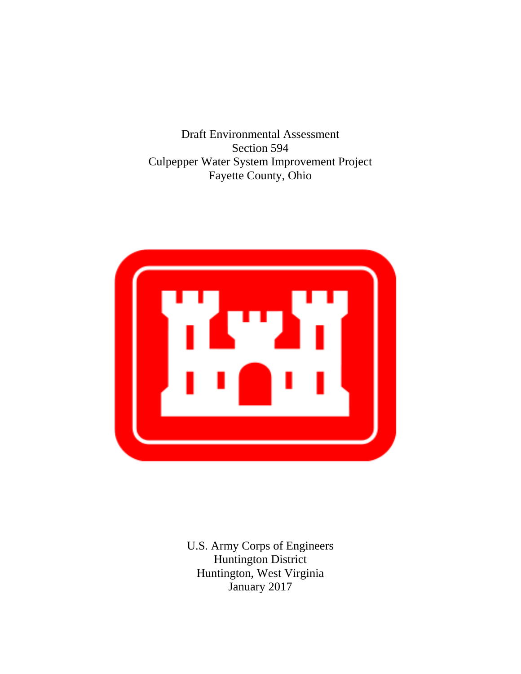Draft Environmental Assessment Section 594 Culpepper Water System Improvement Project Fayette County, Ohio



Huntington, West Virginia<br>January 2017 U.S. Army Corps of Engineers Huntington District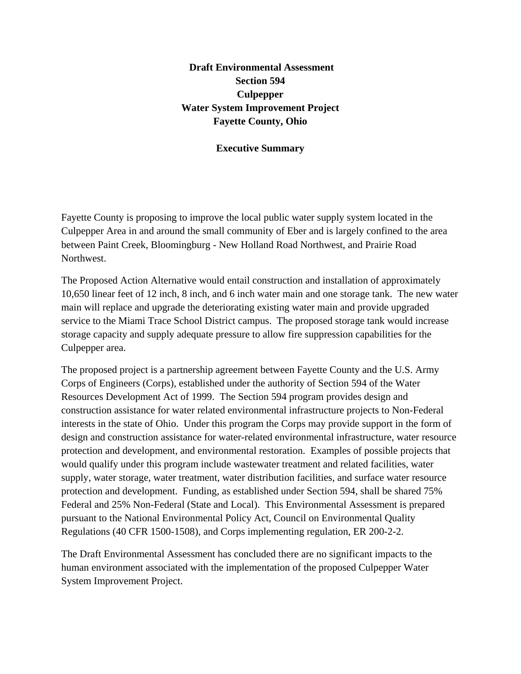# **Draft Environmental Assessment Section 594 Culpepper Water System Improvement Project Fayette County, Ohio**

#### **Executive Summary**

Fayette County is proposing to improve the local public water supply system located in the Culpepper Area in and around the small community of Eber and is largely confined to the area between Paint Creek, Bloomingburg - New Holland Road Northwest, and Prairie Road Northwest.

The Proposed Action Alternative would entail construction and installation of approximately 10,650 linear feet of 12 inch, 8 inch, and 6 inch water main and one storage tank. The new water main will replace and upgrade the deteriorating existing water main and provide upgraded service to the Miami Trace School District campus. The proposed storage tank would increase storage capacity and supply adequate pressure to allow fire suppression capabilities for the Culpepper area.

The proposed project is a partnership agreement between Fayette County and the U.S. Army Corps of Engineers (Corps), established under the authority of Section 594 of the Water Resources Development Act of 1999. The Section 594 program provides design and construction assistance for water related environmental infrastructure projects to Non-Federal interests in the state of Ohio. Under this program the Corps may provide support in the form of design and construction assistance for water-related environmental infrastructure, water resource protection and development, and environmental restoration. Examples of possible projects that would qualify under this program include wastewater treatment and related facilities, water supply, water storage, water treatment, water distribution facilities, and surface water resource protection and development. Funding, as established under Section 594, shall be shared 75% Federal and 25% Non-Federal (State and Local). This Environmental Assessment is prepared pursuant to the National Environmental Policy Act, Council on Environmental Quality Regulations (40 CFR 1500-1508), and Corps implementing regulation, ER 200-2-2.

The Draft Environmental Assessment has concluded there are no significant impacts to the human environment associated with the implementation of the proposed Culpepper Water System Improvement Project.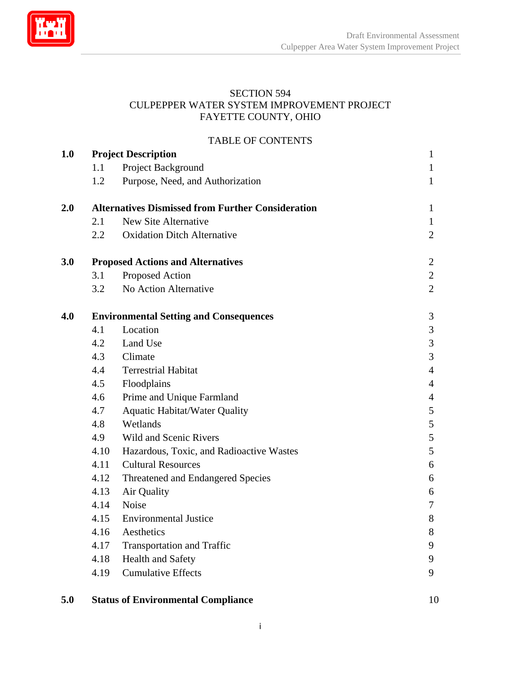<span id="page-3-0"></span>

# SECTION 594<br>CULPEPPER WATER SYSTEM IMPROVEMENT PROJECT<br>FAYETTE COUNTY, OHIO

#### TABLE OF CONTENTS

| 1.0 |                                                          | <b>Project Description</b>               | $\mathbf{1}$   |
|-----|----------------------------------------------------------|------------------------------------------|----------------|
|     | 1.1                                                      | Project Background                       | 1              |
|     | 1.2                                                      | Purpose, Need, and Authorization         | 1              |
| 2.0 | <b>Alternatives Dismissed from Further Consideration</b> | 1                                        |                |
|     | 2.1                                                      | New Site Alternative                     | 1              |
|     | $2.2\,$                                                  | <b>Oxidation Ditch Alternative</b>       | $\overline{2}$ |
| 3.0 | <b>Proposed Actions and Alternatives</b>                 |                                          | $\overline{2}$ |
|     | 3.1                                                      | Proposed Action                          | $\overline{2}$ |
|     | 3.2                                                      | No Action Alternative                    | $\overline{2}$ |
| 4.0 | <b>Environmental Setting and Consequences</b>            |                                          | 3              |
|     | 4.1                                                      | Location                                 | 3              |
|     | 4.2                                                      | Land Use                                 | 3              |
|     | 4.3                                                      | Climate                                  | $\mathfrak{Z}$ |
|     | 4.4                                                      | <b>Terrestrial Habitat</b>               | $\overline{4}$ |
|     | 4.5                                                      | Floodplains                              | $\overline{4}$ |
|     | 4.6                                                      | Prime and Unique Farmland                | $\overline{4}$ |
|     | 4.7                                                      | <b>Aquatic Habitat/Water Quality</b>     | 5              |
|     | 4.8                                                      | Wetlands                                 | 5              |
|     | 4.9                                                      | Wild and Scenic Rivers                   | 5              |
|     | 4.10                                                     | Hazardous, Toxic, and Radioactive Wastes | 5              |
|     | 4.11                                                     | <b>Cultural Resources</b>                | 6              |
|     | 4.12                                                     | Threatened and Endangered Species        | 6              |
|     | 4.13                                                     | Air Quality                              | 6              |
|     | 4.14                                                     | Noise                                    | 7              |
|     | 4.15                                                     | <b>Environmental Justice</b>             | 8              |
|     | 4.16                                                     | Aesthetics                               | 8              |
|     | 4.17                                                     | <b>Transportation and Traffic</b>        | 9              |
|     | 4.18                                                     | <b>Health and Safety</b>                 | 9              |
|     | 4.19                                                     | <b>Cumulative Effects</b>                | 9              |
|     |                                                          |                                          |                |

#### **5.0 Status of Environmental Compliance** 10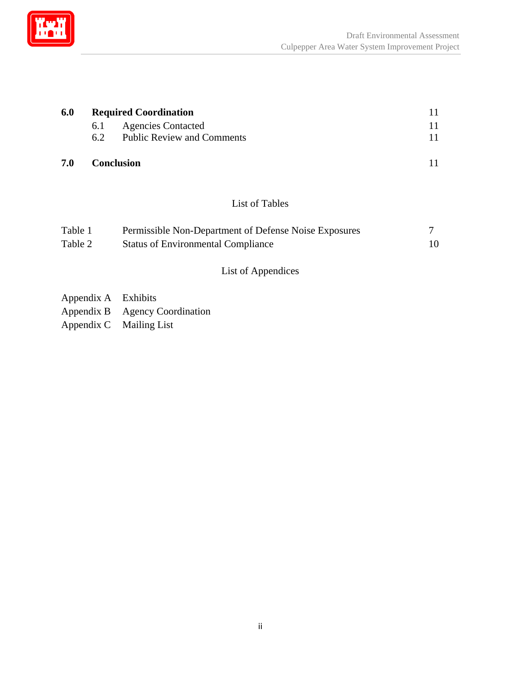

| 6.0 | <b>Required Coordination</b> |                                   |  |
|-----|------------------------------|-----------------------------------|--|
|     | 6.1                          | <b>Agencies Contacted</b>         |  |
|     | 6.2                          | <b>Public Review and Comments</b> |  |
| 7.0 |                              | <b>Conclusion</b>                 |  |

# List of Tables

| Table 1 | Permissible Non-Department of Defense Noise Exposures |    |
|---------|-------------------------------------------------------|----|
| Table 2 | <b>Status of Environmental Compliance</b>             | 10 |

## List of Appendices

| Appendix A | Exhibits |
|------------|----------|
|            |          |

- Appendix B Agency Coordination
- Appendix C Mailing List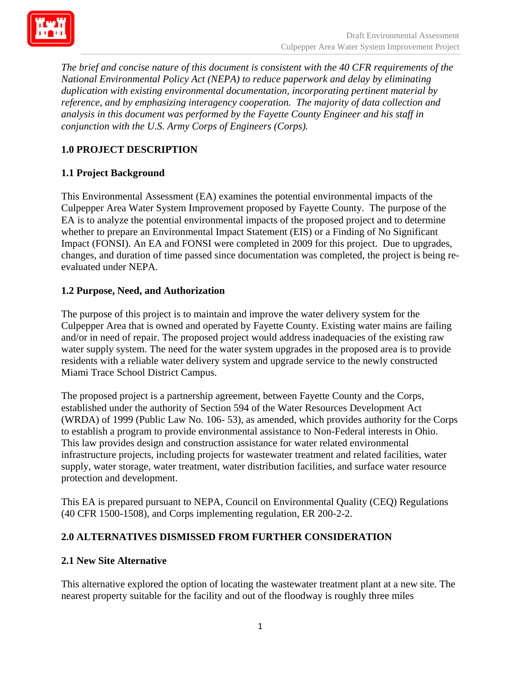

*The brief and concise nature of this document is consistent with the 40 CFR requirements of the National Environmental Policy Act (NEPA) to reduce paperwork and delay by eliminating duplication with existing environmental documentation, incorporating pertinent material by reference, and by emphasizing interagency cooperation. The majority of data collection and analysis in this document was performed by the Fayette County Engineer and his staff in conjunction with the U.S. Army Corps of Engineers (Corps).* 

# **1.0 PROJECT DESCRIPTION**

## **1.1 Project Background**

This Environmental Assessment (EA) examines the potential environmental impacts of the Culpepper Area Water System Improvement proposed by Fayette County. The purpose of the EA is to analyze the potential environmental impacts of the proposed project and to determine whether to prepare an Environmental Impact Statement (EIS) or a Finding of No Significant Impact (FONSI). An EA and FONSI were completed in 2009 for this project. Due to upgrades, changes, and duration of time passed since documentation was completed, the project is being reevaluated under NEPA.

#### **1.2 Purpose, Need, and Authorization**

The purpose of this project is to maintain and improve the water delivery system for the Culpepper Area that is owned and operated by Fayette County. Existing water mains are failing and/or in need of repair. The proposed project would address inadequacies of the existing raw water supply system. The need for the water system upgrades in the proposed area is to provide residents with a reliable water delivery system and upgrade service to the newly constructed Miami Trace School District Campus.

The proposed project is a partnership agreement, between Fayette County and the Corps, established under the authority of Section 594 of the Water Resources Development Act (WRDA) of 1999 (Public Law No. 106- 53), as amended, which provides authority for the Corps to establish a program to provide environmental assistance to Non-Federal interests in Ohio. This law provides design and construction assistance for water related environmental infrastructure projects, including projects for wastewater treatment and related facilities, water supply, water storage, water treatment, water distribution facilities, and surface water resource protection and development.

This EA is prepared pursuant to NEPA, Council on Environmental Quality (CEQ) Regulations (40 CFR 1500-1508), and Corps implementing regulation, ER 200-2-2.

## **2.0 ALTERNATIVES DISMISSED FROM FURTHER CONSIDERATION**

#### **2.1 New Site Alternative**

This alternative explored the option of locating the wastewater treatment plant at a new site. The nearest property suitable for the facility and out of the floodway is roughly three miles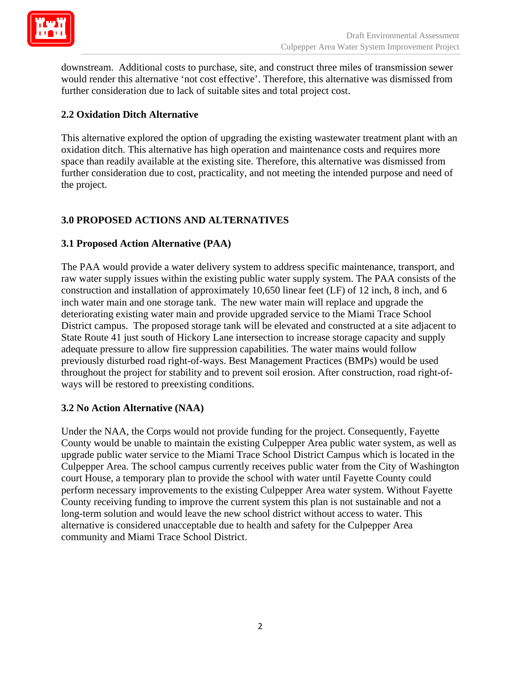

downstream. Additional costs to purchase, site, and construct three miles of transmission sewer would render this alternative 'not cost effective'. Therefore, this alternative was dismissed from further consideration due to lack of suitable sites and total project cost.

## **2.2 Oxidation Ditch Alternative**

This alternative explored the option of upgrading the existing wastewater treatment plant with an oxidation ditch. This alternative has high operation and maintenance costs and requires more space than readily available at the existing site. Therefore, this alternative was dismissed from further consideration due to cost, practicality, and not meeting the intended purpose and need of the project.

## **3.0 PROPOSED ACTIONS AND ALTERNATIVES**

#### **3.1 Proposed Action Alternative (PAA)**

The PAA would provide a water delivery system to address specific maintenance, transport, and raw water supply issues within the existing public water supply system. The PAA consists of the construction and installation of approximately 10,650 linear feet (LF) of 12 inch, 8 inch, and 6 inch water main and one storage tank. The new water main will replace and upgrade the deteriorating existing water main and provide upgraded service to the Miami Trace School District campus. The proposed storage tank will be elevated and constructed at a site adjacent to State Route 41 just south of Hickory Lane intersection to increase storage capacity and supply adequate pressure to allow fire suppression capabilities. The water mains would follow previously disturbed road right-of-ways. Best Management Practices (BMPs) would be used throughout the project for stability and to prevent soil erosion. After construction, road right-ofways will be restored to preexisting conditions.

#### **3.2 No Action Alternative (NAA)**

Under the NAA, the Corps would not provide funding for the project. Consequently, Fayette County would be unable to maintain the existing Culpepper Area public water system, as well as upgrade public water service to the Miami Trace School District Campus which is located in the Culpepper Area. The school campus currently receives public water from the City of Washington court House, a temporary plan to provide the school with water until Fayette County could perform necessary improvements to the existing Culpepper Area water system. Without Fayette County receiving funding to improve the current system this plan is not sustainable and not a long-term solution and would leave the new school district without access to water. This alternative is considered unacceptable due to health and safety for the Culpepper Area community and Miami Trace School District.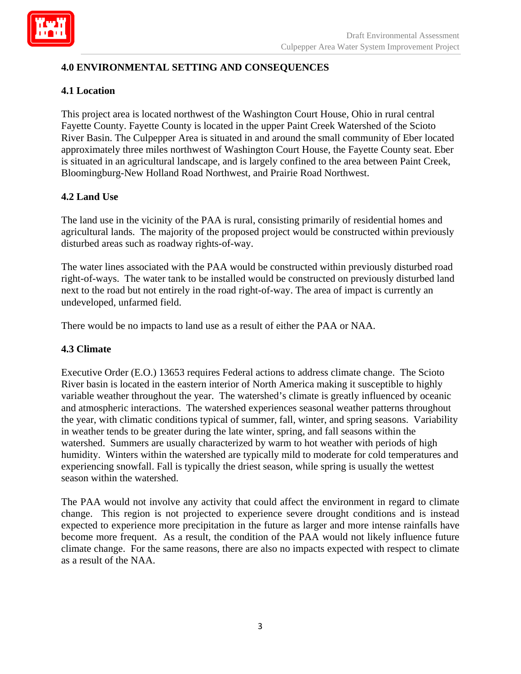

## **4.0 ENVIRONMENTAL SETTING AND CONSEQUENCES**

#### **4.1 Location**

This project area is located northwest of the Washington Court House, Ohio in rural central Fayette County. Fayette County is located in the upper Paint Creek Watershed of the Scioto River Basin. The Culpepper Area is situated in and around the small community of Eber located approximately three miles northwest of Washington Court House, the Fayette County seat. Eber is situated in an agricultural landscape, and is largely confined to the area between Paint Creek, Bloomingburg-New Holland Road Northwest, and Prairie Road Northwest.

#### **4.2 Land Use**

The land use in the vicinity of the PAA is rural, consisting primarily of residential homes and agricultural lands. The majority of the proposed project would be constructed within previously disturbed areas such as roadway rights-of-way.

The water lines associated with the PAA would be constructed within previously disturbed road right-of-ways. The water tank to be installed would be constructed on previously disturbed land next to the road but not entirely in the road right-of-way. The area of impact is currently an undeveloped, unfarmed field.

There would be no impacts to land use as a result of either the PAA or NAA.

#### **4.3 Climate**

Executive Order (E.O.) 13653 requires Federal actions to address climate change. The Scioto River basin is located in the eastern interior of North America making it susceptible to highly variable weather throughout the year. The watershed's climate is greatly influenced by oceanic and atmospheric interactions. The watershed experiences seasonal weather patterns throughout the year, with climatic conditions typical of summer, fall, winter, and spring seasons. Variability in weather tends to be greater during the late winter, spring, and fall seasons within the watershed. Summers are usually characterized by warm to hot weather with periods of high humidity. Winters within the watershed are typically mild to moderate for cold temperatures and experiencing snowfall. Fall is typically the driest season, while spring is usually the wettest season within the watershed.

The PAA would not involve any activity that could affect the environment in regard to climate change. This region is not projected to experience severe drought conditions and is instead expected to experience more precipitation in the future as larger and more intense rainfalls have become more frequent. As a result, the condition of the PAA would not likely influence future climate change. For the same reasons, there are also no impacts expected with respect to climate as a result of the NAA.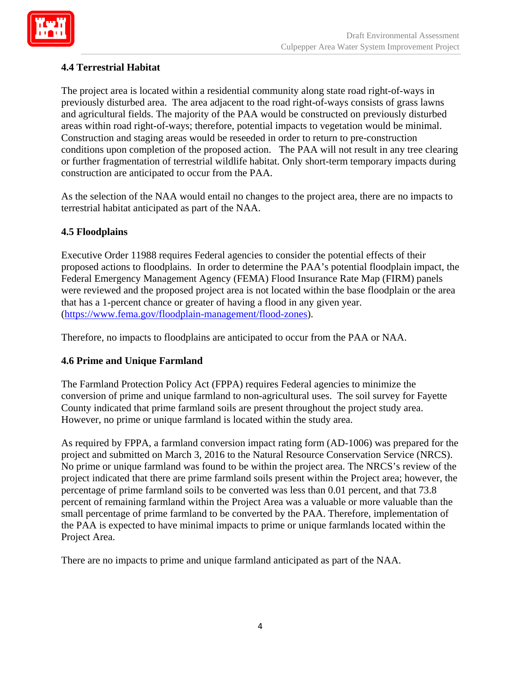

## **4.4 Terrestrial Habitat**

The project area is located within a residential community along state road right-of-ways in previously disturbed area. The area adjacent to the road right-of-ways consists of grass lawns and agricultural fields. The majority of the PAA would be constructed on previously disturbed areas within road right-of-ways; therefore, potential impacts to vegetation would be minimal. Construction and staging areas would be reseeded in order to return to pre-construction conditions upon completion of the proposed action. The PAA will not result in any tree clearing or further fragmentation of terrestrial wildlife habitat. Only short-term temporary impacts during construction are anticipated to occur from the PAA.

 terrestrial habitat anticipated as part of the NAA. As the selection of the NAA would entail no changes to the project area, there are no impacts to

## **4.5 Floodplains**

Executive Order 11988 requires Federal agencies to consider the potential effects of their proposed actions to floodplains. In order to determine the PAA's potential floodplain impact, the Federal Emergency Management Agency (FEMA) Flood Insurance Rate Map (FIRM) panels were reviewed and the proposed project area is not located within the base floodplain or the area that has a 1-percent chance or greater of having a flood in any given year. (https://www.fema.gov/floodplain-management/flood-zones).

Therefore, no impacts to floodplains are anticipated to occur from the PAA or NAA.

#### **4.6 Prime and Unique Farmland**

The Farmland Protection Policy Act (FPPA) requires Federal agencies to minimize the conversion of prime and unique farmland to non-agricultural uses. The soil survey for Fayette County indicated that prime farmland soils are present throughout the project study area. However, no prime or unique farmland is located within the study area.

As required by FPPA, a farmland conversion impact rating form (AD-1006) was prepared for the project and submitted on March 3, 2016 to the Natural Resource Conservation Service (NRCS). No prime or unique farmland was found to be within the project area. The NRCS's review of the project indicated that there are prime farmland soils present within the Project area; however, the percentage of prime farmland soils to be converted was less than 0.01 percent, and that 73.8 percent of remaining farmland within the Project Area was a valuable or more valuable than the small percentage of prime farmland to be converted by the PAA. Therefore, implementation of the PAA is expected to have minimal impacts to prime or unique farmlands located within the Project Area.

There are no impacts to prime and unique farmland anticipated as part of the NAA.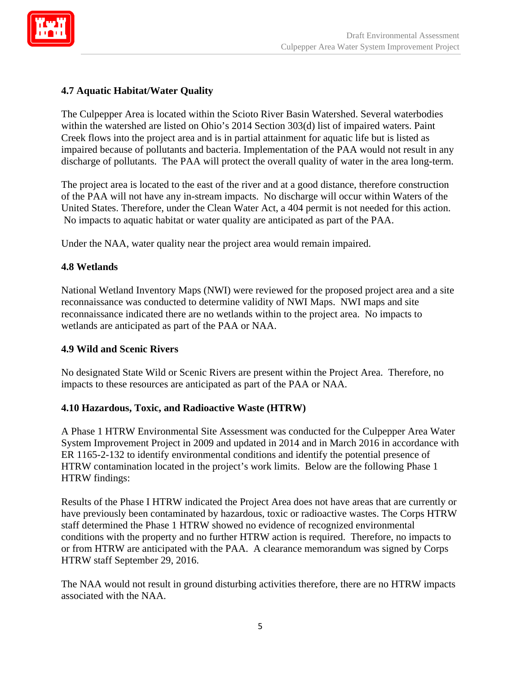

## **4.7 Aquatic Habitat/Water Quality**

The Culpepper Area is located within the Scioto River Basin Watershed. Several waterbodies within the watershed are listed on Ohio's 2014 Section 303(d) list of impaired waters. Paint Creek flows into the project area and is in partial attainment for aquatic life but is listed as impaired because of pollutants and bacteria. Implementation of the PAA would not result in any discharge of pollutants. The PAA will protect the overall quality of water in the area long-term.

The project area is located to the east of the river and at a good distance, therefore construction of the PAA will not have any in-stream impacts. No discharge will occur within Waters of the United States. Therefore, under the Clean Water Act, a 404 permit is not needed for this action. No impacts to aquatic habitat or water quality are anticipated as part of the PAA.

Under the NAA, water quality near the project area would remain impaired.

## **4.8 Wetlands**

National Wetland Inventory Maps (NWI) were reviewed for the proposed project area and a site reconnaissance was conducted to determine validity of NWI Maps. NWI maps and site reconnaissance indicated there are no wetlands within to the project area. No impacts to wetlands are anticipated as part of the PAA or NAA.

## **4.9 Wild and Scenic Rivers**

No designated State Wild or Scenic Rivers are present within the Project Area. Therefore, no impacts to these resources are anticipated as part of the PAA or NAA.

## **4.10 Hazardous, Toxic, and Radioactive Waste (HTRW)**

A Phase 1 HTRW Environmental Site Assessment was conducted for the Culpepper Area Water System Improvement Project in 2009 and updated in 2014 and in March 2016 in accordance with ER 1165-2-132 to identify environmental conditions and identify the potential presence of HTRW contamination located in the project's work limits. Below are the following Phase 1 HTRW findings:

Results of the Phase I HTRW indicated the Project Area does not have areas that are currently or have previously been contaminated by hazardous, toxic or radioactive wastes. The Corps HTRW staff determined the Phase 1 HTRW showed no evidence of recognized environmental conditions with the property and no further HTRW action is required. Therefore, no impacts to or from HTRW are anticipated with the PAA. A clearance memorandum was signed by Corps HTRW staff September 29, 2016.

The NAA would not result in ground disturbing activities therefore, there are no HTRW impacts associated with the NAA.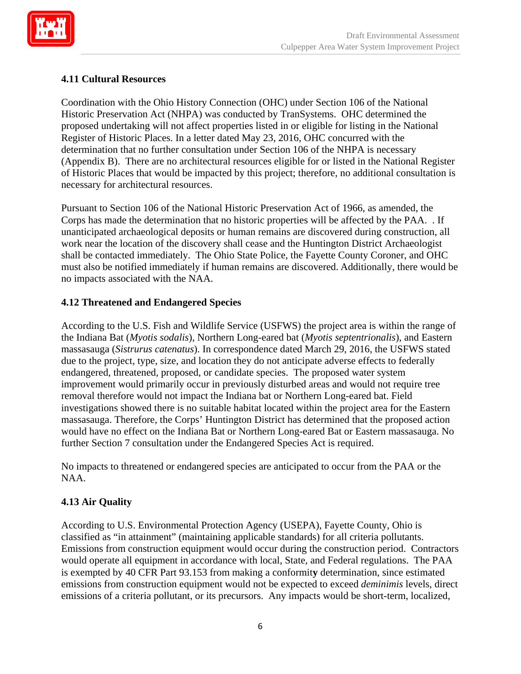

## **4.11 Cultural Resources**

necessary for architectural resources. Coordination with the Ohio History Connection (OHC) under Section 106 of the National Historic Preservation Act (NHPA) was conducted by TranSystems. OHC determined the proposed undertaking will not affect properties listed in or eligible for listing in the National Register of Historic Places. In a letter dated May 23, 2016, OHC concurred with the determination that no further consultation under Section 106 of the NHPA is necessary (Appendix B). There are no architectural resources eligible for or listed in the National Register of Historic Places that would be impacted by this project; therefore, no additional consultation is

Pursuant to Section 106 of the National Historic Preservation Act of 1966, as amended, the Corps has made the determination that no historic properties will be affected by the PAA. . If unanticipated archaeological deposits or human remains are discovered during construction, all work near the location of the discovery shall cease and the Huntington District Archaeologist shall be contacted immediately. The Ohio State Police, the Fayette County Coroner, and OHC must also be notified immediately if human remains are discovered. Additionally, there would be no impacts associated with the NAA.

#### **4.12 Threatened and Endangered Species**

According to the U.S. Fish and Wildlife Service (USFWS) the project area is within the range of the Indiana Bat (*Myotis sodalis*), Northern Long-eared bat (*Myotis septentrionalis*), and Eastern massasauga (*Sistrurus catenatus*). In correspondence dated March 29, 2016, the USFWS stated due to the project, type, size, and location they do not anticipate adverse effects to federally endangered, threatened, proposed, or candidate species. The proposed water system improvement would primarily occur in previously disturbed areas and would not require tree removal therefore would not impact the Indiana bat or Northern Long-eared bat. Field investigations showed there is no suitable habitat located within the project area for the Eastern massasauga. Therefore, the Corps' Huntington District has determined that the proposed action would have no effect on the Indiana Bat or Northern Long-eared Bat or Eastern massasauga. No further Section 7 consultation under the Endangered Species Act is required.

No impacts to threatened or endangered species are anticipated to occur from the PAA or the NAA.

## **4.13 Air Quality**

According to U.S. Environmental Protection Agency (USEPA), Fayette County, Ohio is classified as "in attainment" (maintaining applicable standards) for all criteria pollutants. Emissions from construction equipment would occur during the construction period. Contractors would operate all equipment in accordance with local, State, and Federal regulations. The PAA is exempted by 40 CFR Part 93.153 from making a conformit**y** determination, since estimated emissions from construction equipment would not be expected to exceed *deminimis* levels, direct emissions of a criteria pollutant, or its precursors. Any impacts would be short-term, localized,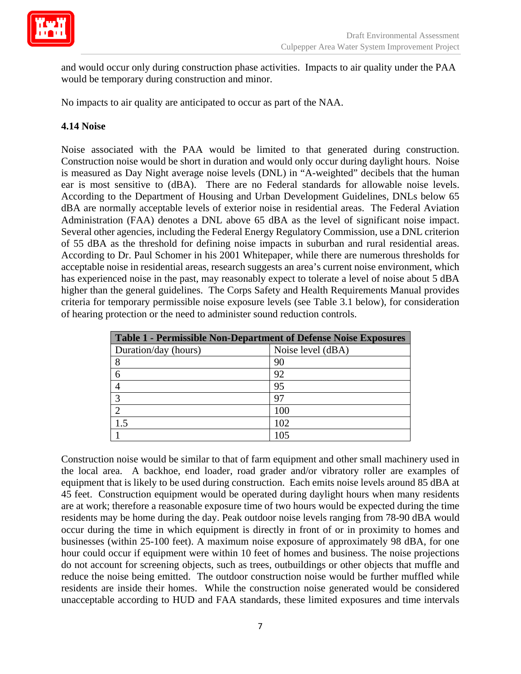

and would occur only during construction phase activities. Impacts to air quality under the PAA would be temporary during construction and minor.

No impacts to air quality are anticipated to occur as part of the NAA.

#### **4.14 Noise**

Administration (FAA) denotes a DNL above 65 dBA as the level of significant noise impact. of 55 dBA as the threshold for defining noise impacts in suburban and rural residential areas. Noise associated with the PAA would be limited to that generated during construction. Construction noise would be short in duration and would only occur during daylight hours. Noise is measured as Day Night average noise levels (DNL) in "A-weighted" decibels that the human ear is most sensitive to (dBA). There are no Federal standards for allowable noise levels. According to the Department of Housing and Urban Development Guidelines, DNLs below 65 dBA are normally acceptable levels of exterior noise in residential areas. The Federal Aviation Several other agencies, including the Federal Energy Regulatory Commission, use a DNL criterion According to Dr. Paul Schomer in his 2001 Whitepaper, while there are numerous thresholds for acceptable noise in residential areas, research suggests an area's current noise environment, which has experienced noise in the past, may reasonably expect to tolerate a level of noise about 5 dBA higher than the general guidelines. The Corps Safety and Health Requirements Manual provides criteria for temporary permissible noise exposure levels (see Table 3.1 below), for consideration of hearing protection or the need to administer sound reduction controls.

| <b>Table 1 - Permissible Non-Department of Defense Noise Exposures</b> |                   |  |  |
|------------------------------------------------------------------------|-------------------|--|--|
| Duration/day (hours)                                                   | Noise level (dBA) |  |  |
|                                                                        | 90                |  |  |
|                                                                        | 92                |  |  |
|                                                                        | 95                |  |  |
|                                                                        | 97                |  |  |
|                                                                        | 100               |  |  |
|                                                                        | 102               |  |  |
|                                                                        | 105               |  |  |

Construction noise would be similar to that of farm equipment and other small machinery used in the local area. A backhoe, end loader, road grader and/or vibratory roller are examples of equipment that is likely to be used during construction. Each emits noise levels around 85 dBA at 45 feet. Construction equipment would be operated during daylight hours when many residents are at work; therefore a reasonable exposure time of two hours would be expected during the time residents may be home during the day. Peak outdoor noise levels ranging from 78-90 dBA would occur during the time in which equipment is directly in front of or in proximity to homes and businesses (within 25-100 feet). A maximum noise exposure of approximately 98 dBA, for one hour could occur if equipment were within 10 feet of homes and business. The noise projections do not account for screening objects, such as trees, outbuildings or other objects that muffle and reduce the noise being emitted. The outdoor construction noise would be further muffled while residents are inside their homes. While the construction noise generated would be considered unacceptable according to HUD and FAA standards, these limited exposures and time intervals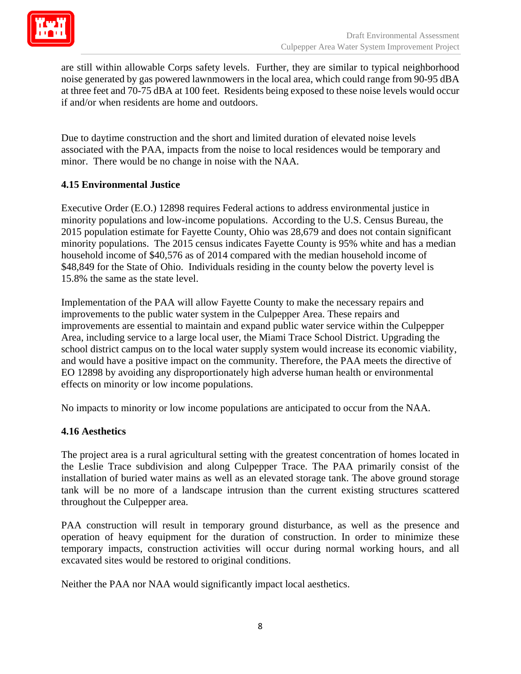

are still within allowable Corps safety levels. Further, they are similar to typical neighborhood noise generated by gas powered lawnmowers in the local area, which could range from 90-95 dBA at three feet and 70-75 dBA at 100 feet. Residents being exposed to these noise levels would occur if and/or when residents are home and outdoors.

Due to daytime construction and the short and limited duration of elevated noise levels associated with the PAA, impacts from the noise to local residences would be temporary and minor. There would be no change in noise with the NAA.

#### **4.15 Environmental Justice**

 minority populations and low-income populations. According to the U.S. Census Bureau, the Executive Order (E.O.) 12898 requires Federal actions to address environmental justice in 2015 population estimate for Fayette County, Ohio was 28,679 and does not contain significant minority populations. The 2015 census indicates Fayette County is 95% white and has a median household income of \$40,576 as of 2014 compared with the median household income of \$48,849 for the State of Ohio. Individuals residing in the county below the poverty level is 15.8% the same as the state level.

Implementation of the PAA will allow Fayette County to make the necessary repairs and improvements to the public water system in the Culpepper Area. These repairs and improvements are essential to maintain and expand public water service within the Culpepper Area, including service to a large local user, the Miami Trace School District. Upgrading the school district campus on to the local water supply system would increase its economic viability, and would have a positive impact on the community. Therefore, the PAA meets the directive of EO 12898 by avoiding any disproportionately high adverse human health or environmental effects on minority or low income populations.

No impacts to minority or low income populations are anticipated to occur from the NAA.

#### **4.16 Aesthetics**

The project area is a rural agricultural setting with the greatest concentration of homes located in the Leslie Trace subdivision and along Culpepper Trace. The PAA primarily consist of the installation of buried water mains as well as an elevated storage tank. The above ground storage tank will be no more of a landscape intrusion than the current existing structures scattered throughout the Culpepper area.

PAA construction will result in temporary ground disturbance, as well as the presence and operation of heavy equipment for the duration of construction. In order to minimize these temporary impacts, construction activities will occur during normal working hours, and all excavated sites would be restored to original conditions.

Neither the PAA nor NAA would significantly impact local aesthetics.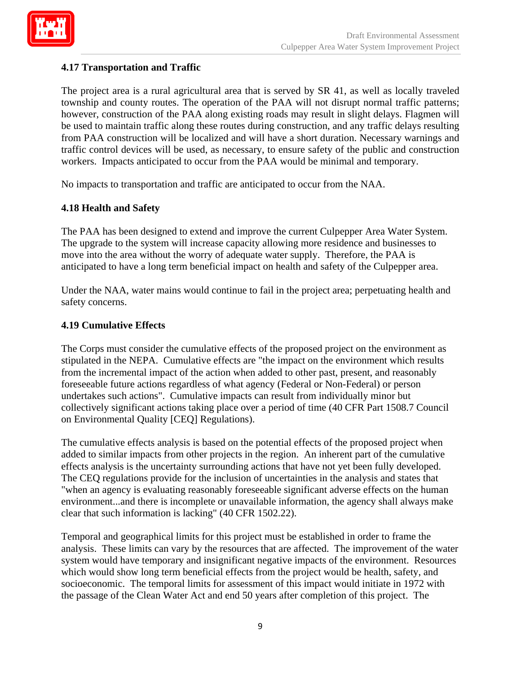

## **4.17 Transportation and Traffic**

The project area is a rural agricultural area that is served by SR 41, as well as locally traveled township and county routes. The operation of the PAA will not disrupt normal traffic patterns; however, construction of the PAA along existing roads may result in slight delays. Flagmen will be used to maintain traffic along these routes during construction, and any traffic delays resulting from PAA construction will be localized and will have a short duration. Necessary warnings and traffic control devices will be used, as necessary, to ensure safety of the public and construction workers. Impacts anticipated to occur from the PAA would be minimal and temporary.

No impacts to transportation and traffic are anticipated to occur from the NAA.

#### **4.18 Health and Safety**

The PAA has been designed to extend and improve the current Culpepper Area Water System. The upgrade to the system will increase capacity allowing more residence and businesses to move into the area without the worry of adequate water supply. Therefore, the PAA is anticipated to have a long term beneficial impact on health and safety of the Culpepper area.

Under the NAA, water mains would continue to fail in the project area; perpetuating health and safety concerns.

#### **4.19 Cumulative Effects**

The Corps must consider the cumulative effects of the proposed project on the environment as stipulated in the NEPA. Cumulative effects are "the impact on the environment which results from the incremental impact of the action when added to other past, present, and reasonably foreseeable future actions regardless of what agency (Federal or Non-Federal) or person undertakes such actions". Cumulative impacts can result from individually minor but collectively significant actions taking place over a period of time (40 CFR Part 1508.7 Council on Environmental Quality [CEQ] Regulations).

The cumulative effects analysis is based on the potential effects of the proposed project when added to similar impacts from other projects in the region. An inherent part of the cumulative effects analysis is the uncertainty surrounding actions that have not yet been fully developed. The CEQ regulations provide for the inclusion of uncertainties in the analysis and states that "when an agency is evaluating reasonably foreseeable significant adverse effects on the human environment...and there is incomplete or unavailable information, the agency shall always make clear that such information is lacking" (40 CFR 1502.22).

Temporal and geographical limits for this project must be established in order to frame the analysis. These limits can vary by the resources that are affected. The improvement of the water system would have temporary and insignificant negative impacts of the environment. Resources which would show long term beneficial effects from the project would be health, safety, and socioeconomic. The temporal limits for assessment of this impact would initiate in 1972 with the passage of the Clean Water Act and end 50 years after completion of this project. The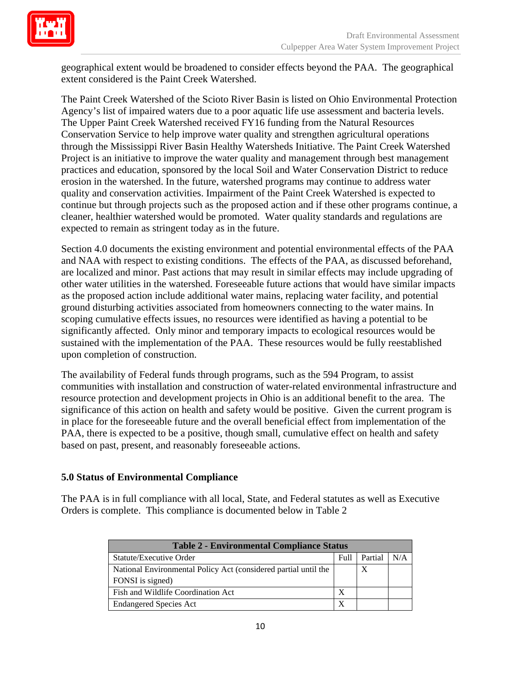

geographical extent would be broadened to consider effects beyond the PAA. The geographical extent considered is the Paint Creek Watershed.

The Paint Creek Watershed of the Scioto River Basin is listed on Ohio Environmental Protection Agency's list of impaired waters due to a poor aquatic life use assessment and bacteria levels. The Upper Paint Creek Watershed received FY16 funding from the Natural Resources Conservation Service to help improve water quality and strengthen agricultural operations through the Mississippi River Basin Healthy Watersheds Initiative. The Paint Creek Watershed Project is an initiative to improve the water quality and management through best management practices and education, sponsored by the local Soil and Water Conservation District to reduce erosion in the watershed. In the future, watershed programs may continue to address water quality and conservation activities. Impairment of the Paint Creek Watershed is expected to continue but through projects such as the proposed action and if these other programs continue, a cleaner, healthier watershed would be promoted. Water quality standards and regulations are expected to remain as stringent today as in the future.

Section 4.0 documents the existing environment and potential environmental effects of the PAA and NAA with respect to existing conditions. The effects of the PAA, as discussed beforehand, are localized and minor. Past actions that may result in similar effects may include upgrading of other water utilities in the watershed. Foreseeable future actions that would have similar impacts as the proposed action include additional water mains, replacing water facility, and potential ground disturbing activities associated from homeowners connecting to the water mains. In scoping cumulative effects issues, no resources were identified as having a potential to be significantly affected. Only minor and temporary impacts to ecological resources would be sustained with the implementation of the PAA. These resources would be fully reestablished upon completion of construction.

The availability of Federal funds through programs, such as the 594 Program, to assist communities with installation and construction of water-related environmental infrastructure and resource protection and development projects in Ohio is an additional benefit to the area. The significance of this action on health and safety would be positive. Given the current program is in place for the foreseeable future and the overall beneficial effect from implementation of the PAA, there is expected to be a positive, though small, cumulative effect on health and safety based on past, present, and reasonably foreseeable actions.

#### **5.0 Status of Environmental Compliance**

The PAA is in full compliance with all local, State, and Federal statutes as well as Executive Orders is complete. This compliance is documented below in Table 2

| <b>Table 2 - Environmental Compliance Status</b>                |      |         |     |
|-----------------------------------------------------------------|------|---------|-----|
| Statute/Executive Order                                         | Full | Partial | N/A |
| National Environmental Policy Act (considered partial until the |      | X       |     |
| FONSI is signed)                                                |      |         |     |
| Fish and Wildlife Coordination Act                              | X    |         |     |
| <b>Endangered Species Act</b>                                   | X    |         |     |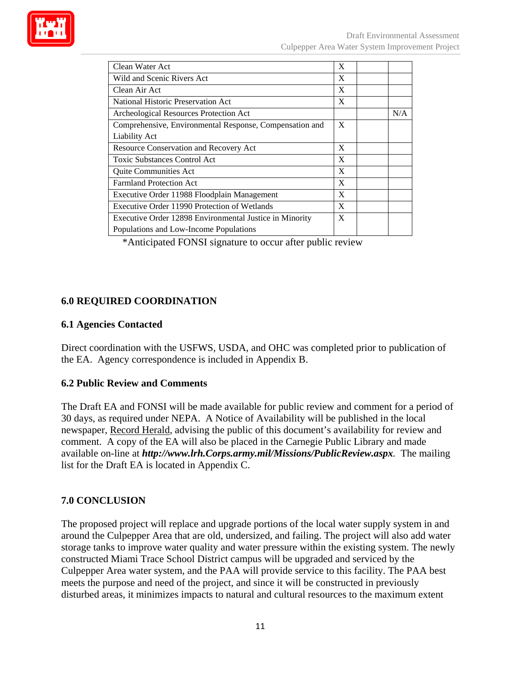

| Clean Water Act                                         |   |     |
|---------------------------------------------------------|---|-----|
| Wild and Scenic Rivers Act                              |   |     |
| Clean Air Act                                           |   |     |
| National Historic Preservation Act                      | X |     |
| Archeological Resources Protection Act                  |   | N/A |
| Comprehensive, Environmental Response, Compensation and | X |     |
| <b>Liability Act</b>                                    |   |     |
| <b>Resource Conservation and Recovery Act</b>           |   |     |
| <b>Toxic Substances Control Act</b>                     | X |     |
| <b>Quite Communities Act</b>                            | X |     |
| <b>Farmland Protection Act</b>                          |   |     |
| Executive Order 11988 Floodplain Management             |   |     |
| Executive Order 11990 Protection of Wetlands            |   |     |
| Executive Order 12898 Environmental Justice in Minority | X |     |
| Populations and Low-Income Populations                  |   |     |

\*Anticipated FONSI signature to occur after public review

#### **6.0 REQUIRED COORDINATION**

#### **6.1 Agencies Contacted**

Direct coordination with the USFWS, USDA, and OHC was completed prior to publication of the EA. Agency correspondence is included in Appendix B.

## **6.2 Public Review and Comments**

The Draft EA and FONSI will be made available for public review and comment for a period of 30 days, as required under NEPA. A Notice of Availability will be published in the local newspaper, Record Herald, advising the public of this document's availability for review and comment. A copy of the EA will also be placed in the Carnegie Public Library and made available on-line at *http://www.lrh.Corps.army.mil/Missions/PublicReview.aspx.* The mailing list for the Draft EA is located in Appendix C.

# **7.0 CONCLUSION**

The proposed project will replace and upgrade portions of the local water supply system in and around the Culpepper Area that are old, undersized, and failing. The project will also add water storage tanks to improve water quality and water pressure within the existing system. The newly constructed Miami Trace School District campus will be upgraded and serviced by the Culpepper Area water system, and the PAA will provide service to this facility. The PAA best meets the purpose and need of the project, and since it will be constructed in previously disturbed areas, it minimizes impacts to natural and cultural resources to the maximum extent